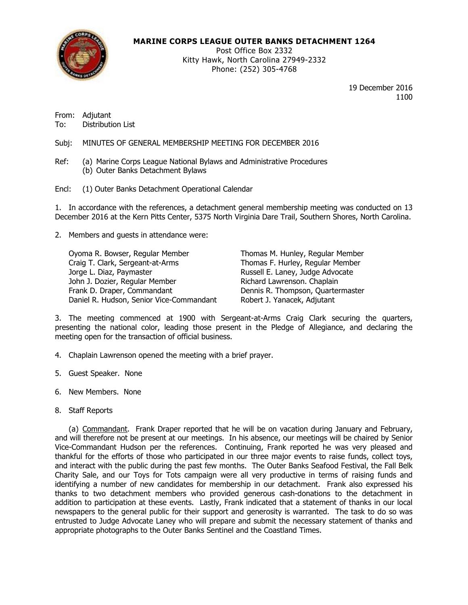

### **MARINE CORPS LEAGUE OUTER BANKS DETACHMENT 1264**

Post Office Box 2332 Kitty Hawk, North Carolina 27949-2332 Phone: (252) 305-4768

> 19 December 2016 1100

From: Adjutant To: Distribution List

Subj: MINUTES OF GENERAL MEMBERSHIP MEETING FOR DECEMBER 2016

Ref: (a) Marine Corps League National Bylaws and Administrative Procedures (b) Outer Banks Detachment Bylaws

Encl: (1) Outer Banks Detachment Operational Calendar

1. In accordance with the references, a detachment general membership meeting was conducted on 13 December 2016 at the Kern Pitts Center, 5375 North Virginia Dare Trail, Southern Shores, North Carolina.

2. Members and guests in attendance were:

Oyoma R. Bowser, Regular Member Thomas M. Hunley, Regular Member Craig T. Clark, Sergeant-at-Arms Thomas F. Hurley, Regular Member Jorge L. Diaz, Paymaster **Russell E. Laney, Judge Advocate** John J. Dozier, Regular Member Richard Lawrenson. Chaplain Frank D. Draper, Commandant **Dennis R. Thompson, Quartermaster** Daniel R. Hudson, Senior Vice-Commandant Robert J. Yanacek, Adjutant

3. The meeting commenced at 1900 with Sergeant-at-Arms Craig Clark securing the quarters, presenting the national color, leading those present in the Pledge of Allegiance, and declaring the meeting open for the transaction of official business.

4. Chaplain Lawrenson opened the meeting with a brief prayer.

- 5. Guest Speaker. None
- 6. New Members. None
- 8. Staff Reports

(a) Commandant. Frank Draper reported that he will be on vacation during January and February, and will therefore not be present at our meetings. In his absence, our meetings will be chaired by Senior Vice-Commandant Hudson per the references. Continuing, Frank reported he was very pleased and thankful for the efforts of those who participated in our three major events to raise funds, collect toys, and interact with the public during the past few months. The Outer Banks Seafood Festival, the Fall Belk Charity Sale, and our Toys for Tots campaign were all very productive in terms of raising funds and identifying a number of new candidates for membership in our detachment. Frank also expressed his thanks to two detachment members who provided generous cash-donations to the detachment in addition to participation at these events. Lastly, Frank indicated that a statement of thanks in our local newspapers to the general public for their support and generosity is warranted. The task to do so was entrusted to Judge Advocate Laney who will prepare and submit the necessary statement of thanks and appropriate photographs to the Outer Banks Sentinel and the Coastland Times.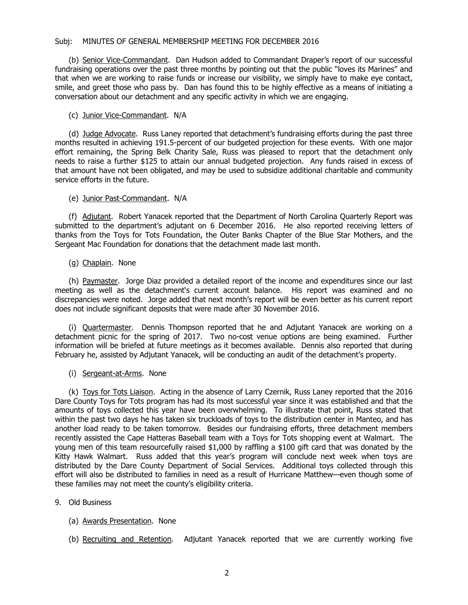#### Subj: MINUTES OF GENERAL MEMBERSHIP MEETING FOR DECEMBER 2016

(b) Senior Vice-Commandant. Dan Hudson added to Commandant Draper's report of our successful fundraising operations over the past three months by pointing out that the public "loves its Marines" and that when we are working to raise funds or increase our visibility, we simply have to make eye contact, smile, and greet those who pass by. Dan has found this to be highly effective as a means of initiating a conversation about our detachment and any specific activity in which we are engaging.

### (c) Junior Vice-Commandant. N/A

(d) Judge Advocate. Russ Laney reported that detachment's fundraising efforts during the past three months resulted in achieving 191.5-percent of our budgeted projection for these events. With one major effort remaining, the Spring Belk Charity Sale, Russ was pleased to report that the detachment only needs to raise a further \$125 to attain our annual budgeted projection. Any funds raised in excess of that amount have not been obligated, and may be used to subsidize additional charitable and community service efforts in the future.

#### (e) Junior Past-Commandant. N/A

(f) Adjutant. Robert Yanacek reported that the Department of North Carolina Quarterly Report was submitted to the department's adjutant on 6 December 2016. He also reported receiving letters of thanks from the Toys for Tots Foundation, the Outer Banks Chapter of the Blue Star Mothers, and the Sergeant Mac Foundation for donations that the detachment made last month.

### (g) Chaplain. None

(h) Paymaster. Jorge Diaz provided a detailed report of the income and expenditures since our last meeting as well as the detachment's current account balance. His report was examined and no discrepancies were noted. Jorge added that next month's report will be even better as his current report does not include significant deposits that were made after 30 November 2016.

(i) Quartermaster. Dennis Thompson reported that he and Adjutant Yanacek are working on a detachment picnic for the spring of 2017. Two no-cost venue options are being examined. Further information will be briefed at future meetings as it becomes available. Dennis also reported that during February he, assisted by Adjutant Yanacek, will be conducting an audit of the detachment's property.

### (i) Sergeant-at-Arms. None

(k) Toys for Tots Liaison. Acting in the absence of Larry Czernik, Russ Laney reported that the 2016 Dare County Toys for Tots program has had its most successful year since it was established and that the amounts of toys collected this year have been overwhelming. To illustrate that point, Russ stated that within the past two days he has taken six truckloads of toys to the distribution center in Manteo, and has another load ready to be taken tomorrow. Besides our fundraising efforts, three detachment members recently assisted the Cape Hatteras Baseball team with a Toys for Tots shopping event at Walmart. The young men of this team resourcefully raised \$1,000 by raffling a \$100 gift card that was donated by the Kitty Hawk Walmart. Russ added that this year's program will conclude next week when toys are distributed by the Dare County Department of Social Services. Additional toys collected through this effort will also be distributed to families in need as a result of Hurricane Matthew—even though some of these families may not meet the county's eligibility criteria.

### 9. Old Business

- (a) Awards Presentation. None
- (b) Recruiting and Retention. Adjutant Yanacek reported that we are currently working five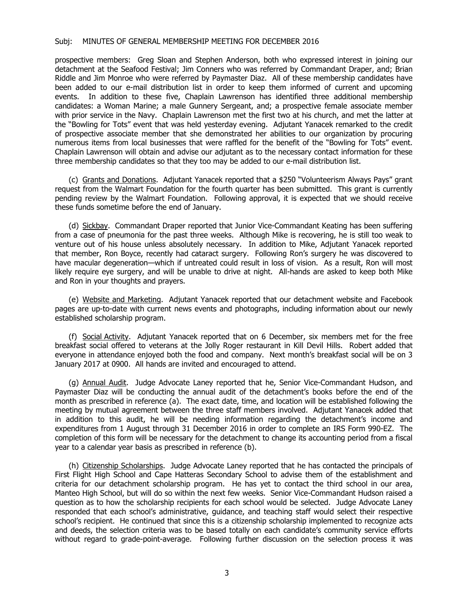#### Subj: MINUTES OF GENERAL MEMBERSHIP MEETING FOR DECEMBER 2016

prospective members: Greg Sloan and Stephen Anderson, both who expressed interest in joining our detachment at the Seafood Festival; Jim Conners who was referred by Commandant Draper, and; Brian Riddle and Jim Monroe who were referred by Paymaster Diaz. All of these membership candidates have been added to our e-mail distribution list in order to keep them informed of current and upcoming events. In addition to these five, Chaplain Lawrenson has identified three additional membership candidates: a Woman Marine; a male Gunnery Sergeant, and; a prospective female associate member with prior service in the Navy. Chaplain Lawrenson met the first two at his church, and met the latter at the "Bowling for Tots" event that was held yesterday evening. Adjutant Yanacek remarked to the credit of prospective associate member that she demonstrated her abilities to our organization by procuring numerous items from local businesses that were raffled for the benefit of the "Bowling for Tots" event. Chaplain Lawrenson will obtain and advise our adjutant as to the necessary contact information for these three membership candidates so that they too may be added to our e-mail distribution list.

(c) Grants and Donations. Adjutant Yanacek reported that a \$250 "Volunteerism Always Pays" grant request from the Walmart Foundation for the fourth quarter has been submitted. This grant is currently pending review by the Walmart Foundation. Following approval, it is expected that we should receive these funds sometime before the end of January.

(d) Sickbay. Commandant Draper reported that Junior Vice-Commandant Keating has been suffering from a case of pneumonia for the past three weeks. Although Mike is recovering, he is still too weak to venture out of his house unless absolutely necessary. In addition to Mike, Adjutant Yanacek reported that member, Ron Boyce, recently had cataract surgery. Following Ron's surgery he was discovered to have macular degeneration—which if untreated could result in loss of vision. As a result, Ron will most likely require eye surgery, and will be unable to drive at night. All-hands are asked to keep both Mike and Ron in your thoughts and prayers.

(e) Website and Marketing. Adjutant Yanacek reported that our detachment website and Facebook pages are up-to-date with current news events and photographs, including information about our newly established scholarship program.

(f) Social Activity. Adjutant Yanacek reported that on 6 December, six members met for the free breakfast social offered to veterans at the Jolly Roger restaurant in Kill Devil Hills. Robert added that everyone in attendance enjoyed both the food and company. Next month's breakfast social will be on 3 January 2017 at 0900. All hands are invited and encouraged to attend.

(g) Annual Audit. Judge Advocate Laney reported that he, Senior Vice-Commandant Hudson, and Paymaster Diaz will be conducting the annual audit of the detachment's books before the end of the month as prescribed in reference (a). The exact date, time, and location will be established following the meeting by mutual agreement between the three staff members involved. Adjutant Yanacek added that in addition to this audit, he will be needing information regarding the detachment's income and expenditures from 1 August through 31 December 2016 in order to complete an IRS Form 990-EZ. The completion of this form will be necessary for the detachment to change its accounting period from a fiscal year to a calendar year basis as prescribed in reference (b).

(h) Citizenship Scholarships. Judge Advocate Laney reported that he has contacted the principals of First Flight High School and Cape Hatteras Secondary School to advise them of the establishment and criteria for our detachment scholarship program. He has yet to contact the third school in our area, Manteo High School, but will do so within the next few weeks. Senior Vice-Commandant Hudson raised a question as to how the scholarship recipients for each school would be selected. Judge Advocate Laney responded that each school's administrative, guidance, and teaching staff would select their respective school's recipient. He continued that since this is a citizenship scholarship implemented to recognize acts and deeds, the selection criteria was to be based totally on each candidate's community service efforts without regard to grade-point-average. Following further discussion on the selection process it was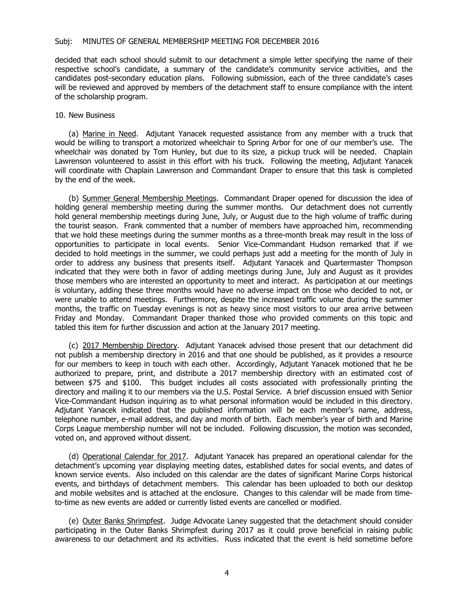#### Subj: MINUTES OF GENERAL MEMBERSHIP MEETING FOR DECEMBER 2016

decided that each school should submit to our detachment a simple letter specifying the name of their respective school's candidate, a summary of the candidate's community service activities, and the candidates post-secondary education plans. Following submission, each of the three candidate's cases will be reviewed and approved by members of the detachment staff to ensure compliance with the intent of the scholarship program.

#### 10. New Business

(a) Marine in Need. Adjutant Yanacek requested assistance from any member with a truck that would be willing to transport a motorized wheelchair to Spring Arbor for one of our member's use. The wheelchair was donated by Tom Hunley, but due to its size, a pickup truck will be needed. Chaplain Lawrenson volunteered to assist in this effort with his truck. Following the meeting, Adjutant Yanacek will coordinate with Chaplain Lawrenson and Commandant Draper to ensure that this task is completed by the end of the week.

(b) Summer General Membership Meetings. Commandant Draper opened for discussion the idea of holding general membership meeting during the summer months. Our detachment does not currently hold general membership meetings during June, July, or August due to the high volume of traffic during the tourist season. Frank commented that a number of members have approached him, recommending that we hold these meetings during the summer months as a three-month break may result in the loss of opportunities to participate in local events. Senior Vice-Commandant Hudson remarked that if we decided to hold meetings in the summer, we could perhaps just add a meeting for the month of July in order to address any business that presents itself. Adjutant Yanacek and Quartermaster Thompson indicated that they were both in favor of adding meetings during June, July and August as it provides those members who are interested an opportunity to meet and interact. As participation at our meetings is voluntary, adding these three months would have no adverse impact on those who decided to not, or were unable to attend meetings. Furthermore, despite the increased traffic volume during the summer months, the traffic on Tuesday evenings is not as heavy since most visitors to our area arrive between Friday and Monday. Commandant Draper thanked those who provided comments on this topic and tabled this item for further discussion and action at the January 2017 meeting.

(c) 2017 Membership Directory. Adjutant Yanacek advised those present that our detachment did not publish a membership directory in 2016 and that one should be published, as it provides a resource for our members to keep in touch with each other. Accordingly, Adjutant Yanacek motioned that he be authorized to prepare, print, and distribute a 2017 membership directory with an estimated cost of between \$75 and \$100. This budget includes all costs associated with professionally printing the directory and mailing it to our members via the U.S. Postal Service. A brief discussion ensued with Senior Vice-Commandant Hudson inquiring as to what personal information would be included in this directory. Adjutant Yanacek indicated that the published information will be each member's name, address, telephone number, e-mail address, and day and month of birth. Each member's year of birth and Marine Corps League membership number will not be included. Following discussion, the motion was seconded, voted on, and approved without dissent.

(d) Operational Calendar for 2017. Adjutant Yanacek has prepared an operational calendar for the detachment's upcoming year displaying meeting dates, established dates for social events, and dates of known service events. Also included on this calendar are the dates of significant Marine Corps historical events, and birthdays of detachment members. This calendar has been uploaded to both our desktop and mobile websites and is attached at the enclosure. Changes to this calendar will be made from timeto-time as new events are added or currently listed events are cancelled or modified.

(e) Outer Banks Shrimpfest. Judge Advocate Laney suggested that the detachment should consider participating in the Outer Banks Shrimpfest during 2017 as it could prove beneficial in raising public awareness to our detachment and its activities. Russ indicated that the event is held sometime before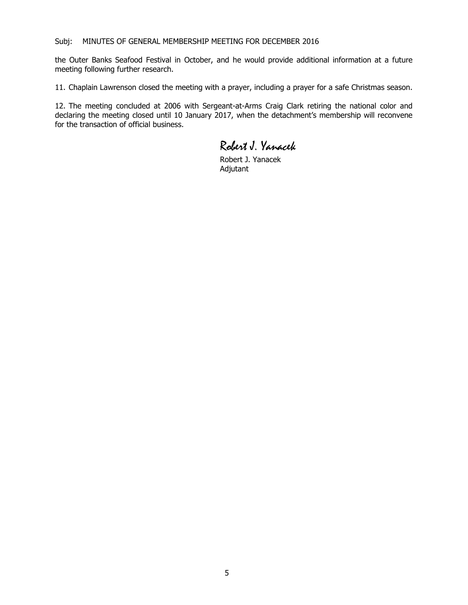the Outer Banks Seafood Festival in October, and he would provide additional information at a future meeting following further research.

11. Chaplain Lawrenson closed the meeting with a prayer, including a prayer for a safe Christmas season.

12. The meeting concluded at 2006 with Sergeant-at-Arms Craig Clark retiring the national color and declaring the meeting closed until 10 January 2017, when the detachment's membership will reconvene for the transaction of official business.

Robert J. Yanacek

Robert J. Yanacek Adjutant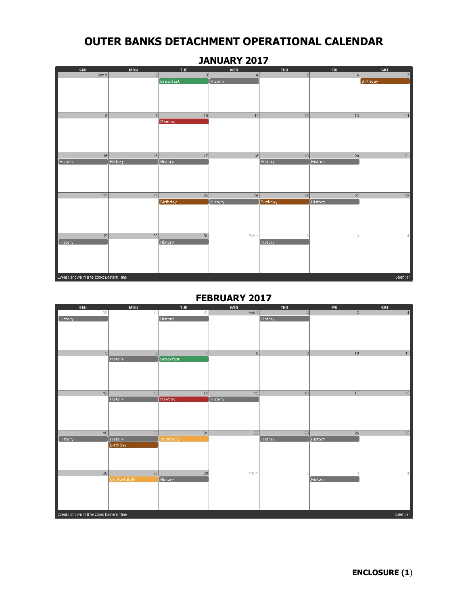| <b>SUN</b>                              | MON            | <b>TUE</b>       | WED            | <b>THU</b>     | <b>FRI</b>      | SAT             |
|-----------------------------------------|----------------|------------------|----------------|----------------|-----------------|-----------------|
| Jan 1                                   | 2              | 3 <sup>1</sup>   | $\overline{4}$ | 5              | 6               | 7               |
|                                         |                | <b>Breakfast</b> | <b>History</b> |                |                 | <b>Birthday</b> |
|                                         |                |                  |                |                |                 |                 |
|                                         |                |                  |                |                |                 |                 |
|                                         |                |                  |                |                |                 |                 |
|                                         |                |                  |                |                |                 |                 |
| 8                                       | $\overline{9}$ | 10               | 11             | 12             | 13              | 14              |
|                                         |                | Meeting          |                |                |                 |                 |
|                                         |                |                  |                |                |                 |                 |
|                                         |                |                  |                |                |                 |                 |
|                                         |                |                  |                |                |                 |                 |
|                                         |                |                  |                |                |                 |                 |
| 15                                      | 16             | 17               | 18             | 19             | $\overline{20}$ | 21              |
| History                                 | History        | <b>History</b>   |                | <b>History</b> | History         |                 |
|                                         |                |                  |                |                |                 |                 |
|                                         |                |                  |                |                |                 |                 |
|                                         |                |                  |                |                |                 |                 |
|                                         |                |                  |                |                |                 |                 |
| 22                                      | 23             | 24               | 25             | 26             | 27              | 28              |
|                                         |                | <b>Birthday</b>  | History        | Birthday       | History         |                 |
|                                         |                |                  |                |                |                 |                 |
|                                         |                |                  |                |                |                 |                 |
|                                         |                |                  |                |                |                 |                 |
|                                         |                |                  |                |                |                 |                 |
| $\overline{29}$                         | 30             | 31               | Feb 1          |                |                 | 4               |
| History                                 |                | History          |                | <b>History</b> |                 |                 |
|                                         |                |                  |                |                |                 |                 |
|                                         |                |                  |                |                |                 |                 |
|                                         |                |                  |                |                |                 |                 |
|                                         |                |                  |                |                |                 |                 |
| Events shown in time zone: Eastern Time |                |                  |                |                |                 | Calendar        |

### **JANUARY 2017**

# **FEBRUARY 2017**

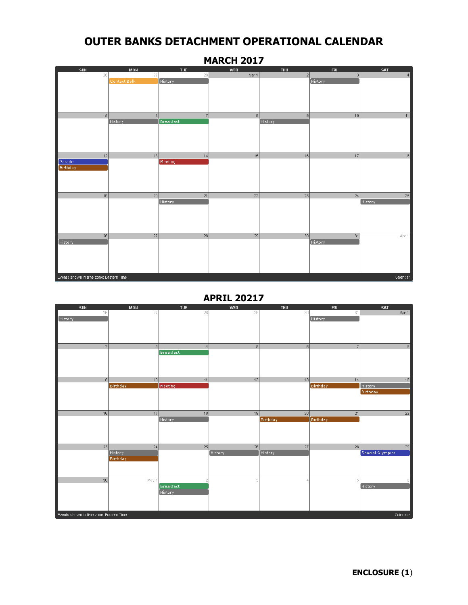| <b>SUN</b>                              | <b>MON</b>      | <b>TUE</b>                 | WED                   | <b>THU</b> | <b>FRI</b> | <b>SAT</b>    |
|-----------------------------------------|-----------------|----------------------------|-----------------------|------------|------------|---------------|
| 26                                      | 27              | 28                         | Mar 1                 | 2          | 3          | 4             |
|                                         | Contact Belk    | <b>History</b>             |                       |            | History    |               |
|                                         |                 |                            |                       |            |            |               |
|                                         |                 |                            |                       |            |            |               |
|                                         |                 |                            |                       |            |            |               |
|                                         |                 |                            |                       |            |            |               |
| 5 <sup>1</sup>                          | 6 <sup>1</sup>  | 7                          | $\lvert \cdot \rvert$ | 9          | 10         | 11            |
|                                         | History         | <b>Breakfast</b>           |                       | History    |            |               |
|                                         |                 |                            |                       |            |            |               |
|                                         |                 |                            |                       |            |            |               |
|                                         |                 |                            |                       |            |            |               |
|                                         |                 |                            |                       |            |            |               |
| 12                                      | 13              | 14                         | 15                    | 16         | 17         | 18            |
| Parade<br>Birthday                      |                 | Meeting                    |                       |            |            |               |
|                                         |                 |                            |                       |            |            |               |
|                                         |                 |                            |                       |            |            |               |
|                                         |                 |                            |                       |            |            |               |
|                                         |                 |                            |                       |            |            |               |
| 19                                      | $\overline{20}$ | $\overline{21}$<br>History | 22                    | 23         | 24         | 25<br>History |
|                                         |                 |                            |                       |            |            |               |
|                                         |                 |                            |                       |            |            |               |
|                                         |                 |                            |                       |            |            |               |
|                                         |                 |                            |                       |            |            |               |
| $\overline{26}$                         | $\overline{27}$ | 28                         | $\overline{29}$       | 30         | 31         |               |
| <b>History</b>                          |                 |                            |                       |            | History    | Apr 1         |
|                                         |                 |                            |                       |            |            |               |
|                                         |                 |                            |                       |            |            |               |
|                                         |                 |                            |                       |            |            |               |
|                                         |                 |                            |                       |            |            |               |
|                                         |                 |                            |                       |            |            |               |
| Events shown in time zone: Eastern Time |                 |                            |                       |            |            | Calendar      |

### **MARCH 2017**

**APRIL 20217**

| SUN                                     | <b>MON</b>      | <b>TUE</b>       | WED     | <b>THU</b> | <b>FRI</b>     | <b>SAT</b>       |
|-----------------------------------------|-----------------|------------------|---------|------------|----------------|------------------|
| 26                                      | 27              | 28               | 29      | 30         | 31             | Apr 1            |
| History                                 |                 |                  |         |            | History        |                  |
|                                         |                 |                  |         |            |                |                  |
|                                         |                 |                  |         |            |                |                  |
|                                         |                 |                  |         |            |                |                  |
| $\left 2\right $                        | $\overline{3}$  | 4                | $\vert$ | 6          | 7 <sup>1</sup> | 8                |
|                                         |                 | <b>Breakfast</b> |         |            |                |                  |
|                                         |                 |                  |         |            |                |                  |
|                                         |                 |                  |         |            |                |                  |
|                                         |                 |                  |         |            |                |                  |
|                                         |                 |                  |         |            |                |                  |
| 9                                       | 10              | 11               | 12      | 13         | 14             | 15               |
|                                         | Birthday        | Meeting          |         |            | Birthday       | History          |
|                                         |                 |                  |         |            |                | Birthday         |
|                                         |                 |                  |         |            |                |                  |
|                                         |                 |                  |         |            |                |                  |
| 16                                      | 17              | 18               | 19      | 20         | 21             | $\overline{22}$  |
|                                         |                 | History          |         | Birthday   | Birthday       |                  |
|                                         |                 |                  |         |            |                |                  |
|                                         |                 |                  |         |            |                |                  |
|                                         |                 |                  |         |            |                |                  |
|                                         |                 |                  |         |            |                |                  |
| 23                                      | 24              | 25               | 26      | 27         | 28             | 29               |
|                                         | History         |                  | History | History    |                | Special Olympics |
|                                         | <b>Birthday</b> |                  |         |            |                |                  |
|                                         |                 |                  |         |            |                |                  |
|                                         |                 |                  |         |            |                |                  |
| $30\,$                                  | May 1           |                  | g       |            |                |                  |
|                                         |                 | <b>Breakfast</b> |         |            |                | History          |
|                                         |                 | History          |         |            |                |                  |
|                                         |                 |                  |         |            |                |                  |
|                                         |                 |                  |         |            |                |                  |
|                                         |                 |                  |         |            |                |                  |
| Events shown in time zone: Eastern Time |                 |                  |         |            |                | Calendar         |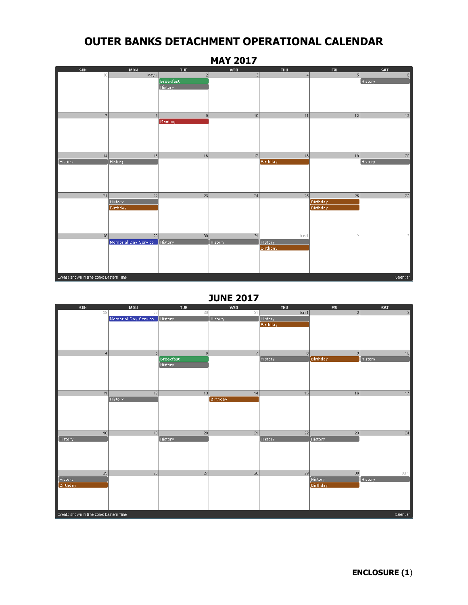

**JUNE 2017**

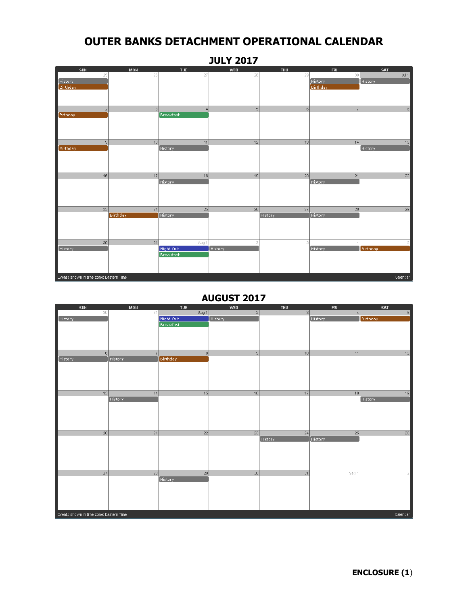### **JULY 2017**

| <b>SUN</b>                              | <b>MON</b>      | <b>TUE</b>       | <b>WED</b>     | <b>THU</b>     | <b>FRI</b>      | <b>SAT</b>      |
|-----------------------------------------|-----------------|------------------|----------------|----------------|-----------------|-----------------|
| 25                                      | 26              | 27               | 28             | 29             | 30              | Jul 1           |
| History                                 |                 |                  |                |                | History         | <b>History</b>  |
| Birthday                                |                 |                  |                |                | <b>Birthday</b> |                 |
|                                         |                 |                  |                |                |                 |                 |
|                                         |                 |                  |                |                |                 |                 |
|                                         |                 |                  |                |                |                 |                 |
| $\sqrt{2}$                              | 3 <sup>1</sup>  | $\overline{4}$   | 5 <sup>1</sup> | 6              | 7               | 8               |
| <b>Brthday</b>                          |                 | Breakfast        |                |                |                 |                 |
|                                         |                 |                  |                |                |                 |                 |
|                                         |                 |                  |                |                |                 |                 |
|                                         |                 |                  |                |                |                 |                 |
|                                         |                 |                  |                |                |                 |                 |
| 9                                       | 10              | 11               | 12             | 13             | 14              | 15              |
| Birthday                                |                 | History          |                |                |                 | History         |
|                                         |                 |                  |                |                |                 |                 |
|                                         |                 |                  |                |                |                 |                 |
|                                         |                 |                  |                |                |                 |                 |
|                                         |                 |                  |                |                |                 |                 |
| 16                                      | 17              | 18               | 19             | 20             | 21              | $\overline{22}$ |
|                                         |                 | <b>History</b>   |                |                | History         |                 |
|                                         |                 |                  |                |                |                 |                 |
|                                         |                 |                  |                |                |                 |                 |
|                                         |                 |                  |                |                |                 |                 |
|                                         |                 |                  |                |                |                 |                 |
| 23                                      | 24              | 25               | 26             | 27             | 28              | 29              |
|                                         | <b>Birthday</b> | History          |                | <b>History</b> | History         |                 |
|                                         |                 |                  |                |                |                 |                 |
|                                         |                 |                  |                |                |                 |                 |
|                                         |                 |                  |                |                |                 |                 |
|                                         |                 |                  |                |                |                 |                 |
| 30                                      | 31              | Aug 1            | g              | 3              |                 |                 |
| History                                 |                 | Night Out        | History        |                | History         | Birthday        |
|                                         |                 | <b>Breakfast</b> |                |                |                 |                 |
|                                         |                 |                  |                |                |                 |                 |
|                                         |                 |                  |                |                |                 |                 |
|                                         |                 |                  |                |                |                 |                 |
|                                         |                 |                  |                |                |                 |                 |
| Events shown in time zone: Eastern Time |                 |                  |                |                |                 | Calendar        |

### **AUGUST 2017**

| <b>SUN</b>      | <b>MON</b>     | <b>TUE</b>                                          | <b>WED</b> | <b>THU</b>      | <b>FRI</b> | SAT            |  |  |  |
|-----------------|----------------|-----------------------------------------------------|------------|-----------------|------------|----------------|--|--|--|
| 30              | 31             | Aug 1                                               | 2          | 3 <sup>1</sup>  | 4          | $\sqrt{5}$     |  |  |  |
| History         |                | Night Out                                           | History    |                 | History    | Birthday       |  |  |  |
|                 |                | <b>Breakfast</b>                                    |            |                 |            |                |  |  |  |
|                 |                |                                                     |            |                 |            |                |  |  |  |
|                 |                |                                                     |            |                 |            |                |  |  |  |
|                 |                |                                                     |            |                 |            |                |  |  |  |
|                 | $\overline{z}$ |                                                     |            |                 |            |                |  |  |  |
| 6               |                | 8                                                   | 9          | 10              | 11         | 12             |  |  |  |
| History         | History        | Birthday                                            |            |                 |            |                |  |  |  |
|                 |                |                                                     |            |                 |            |                |  |  |  |
|                 |                |                                                     |            |                 |            |                |  |  |  |
|                 |                |                                                     |            |                 |            |                |  |  |  |
|                 |                |                                                     |            |                 |            |                |  |  |  |
| 13              | 14             | 15                                                  | 16         | 17              | 18         | 19             |  |  |  |
|                 | History        |                                                     |            |                 |            | History        |  |  |  |
|                 |                |                                                     |            |                 |            |                |  |  |  |
|                 |                |                                                     |            |                 |            |                |  |  |  |
|                 |                |                                                     |            |                 |            |                |  |  |  |
|                 |                |                                                     |            |                 |            |                |  |  |  |
|                 |                |                                                     |            |                 |            |                |  |  |  |
| 20              | 21             | 22                                                  | 23         | 24              | 25         | 26             |  |  |  |
|                 |                |                                                     |            | History         | History    |                |  |  |  |
|                 |                |                                                     |            |                 |            |                |  |  |  |
|                 |                |                                                     |            |                 |            |                |  |  |  |
|                 |                |                                                     |            |                 |            |                |  |  |  |
|                 |                |                                                     |            |                 |            |                |  |  |  |
| $\overline{27}$ | 28             | 29                                                  | 30         | $\overline{31}$ | Sep 1      | $\overline{2}$ |  |  |  |
|                 |                | History                                             |            |                 |            |                |  |  |  |
|                 |                |                                                     |            |                 |            |                |  |  |  |
|                 |                |                                                     |            |                 |            |                |  |  |  |
|                 |                |                                                     |            |                 |            |                |  |  |  |
|                 |                |                                                     |            |                 |            |                |  |  |  |
|                 |                |                                                     |            |                 |            |                |  |  |  |
|                 |                | Events shown in time zone: Eastern Time<br>Calendar |            |                 |            |                |  |  |  |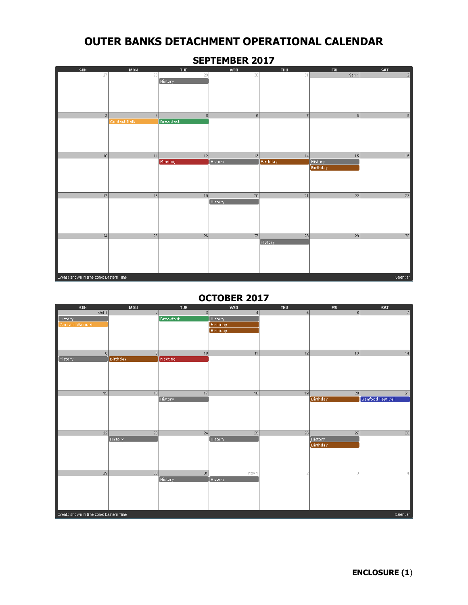

**SEPTEMBER 2017**

### **OCTOBER 2017**

| <b>SUN</b>                              | MON            | <b>TUE</b>       | <b>WED</b>                  | <b>THU</b> | <b>FRI</b>     | SAT                    |
|-----------------------------------------|----------------|------------------|-----------------------------|------------|----------------|------------------------|
| Oct 1                                   | 2 <sup>1</sup> | 3 <sup>1</sup>   | 4                           | 5          | 6              | 7                      |
| History                                 |                | <b>Breakfast</b> | History                     |            |                |                        |
| Contact Walmart                         |                |                  | <b>Birthday</b><br>Birthday |            |                |                        |
|                                         |                |                  |                             |            |                |                        |
|                                         |                |                  |                             |            |                |                        |
|                                         |                |                  |                             |            |                |                        |
| 8                                       | 9              | 10               | 11                          | 12         | 13             | 14                     |
| History                                 | Birthday       | Meeting          |                             |            |                |                        |
|                                         |                |                  |                             |            |                |                        |
|                                         |                |                  |                             |            |                |                        |
|                                         |                |                  |                             |            |                |                        |
|                                         |                |                  |                             |            |                |                        |
| 15                                      | 16             | 17<br>History    | 18                          | 19         | 20<br>Birthday | 21<br>Seafood Festival |
|                                         |                |                  |                             |            |                |                        |
|                                         |                |                  |                             |            |                |                        |
|                                         |                |                  |                             |            |                |                        |
|                                         |                |                  |                             |            |                |                        |
| 22                                      | 23             | 24               | 25                          | 26         | 27             | 28                     |
|                                         | History        |                  | History                     |            | History        |                        |
|                                         |                |                  |                             |            | Birthday       |                        |
|                                         |                |                  |                             |            |                |                        |
|                                         |                |                  |                             |            |                |                        |
|                                         |                |                  |                             |            |                |                        |
| $\overline{29}$                         | 30             | 31               | Nov 1                       |            | 3.             | 4                      |
|                                         |                | History          | History                     |            |                |                        |
|                                         |                |                  |                             |            |                |                        |
|                                         |                |                  |                             |            |                |                        |
|                                         |                |                  |                             |            |                |                        |
|                                         |                |                  |                             |            |                |                        |
| Events shown in time zone: Eastern Time |                |                  |                             |            |                | Calendar               |